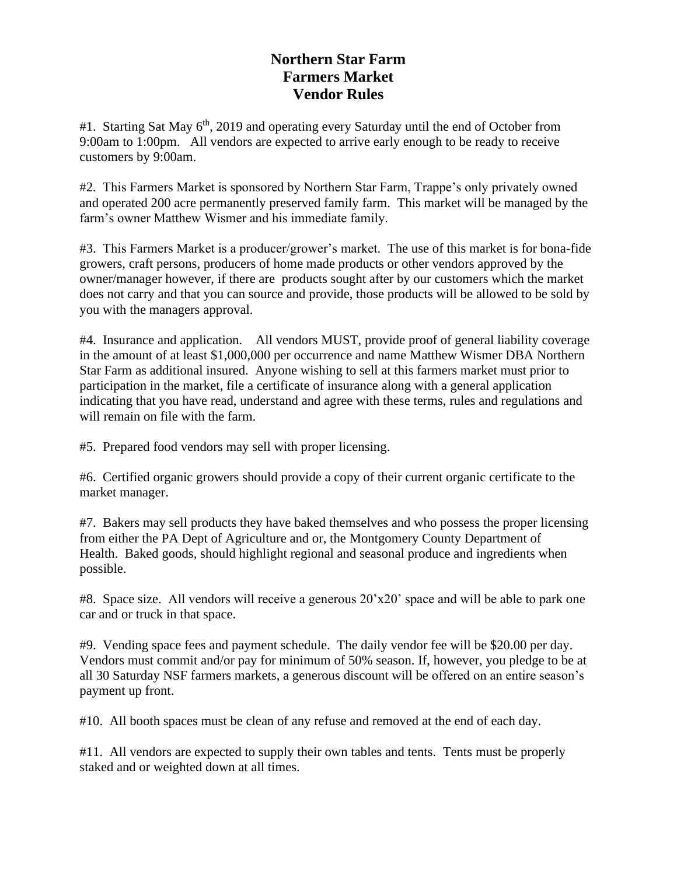## **Northern Star Farm Farmers Market Vendor Rules**

#1. Starting Sat May 6<sup>th</sup>, 2019 and operating every Saturday until the end of October from 9:00am to 1:00pm. All vendors are expected to arrive early enough to be ready to receive customers by 9:00am.

#2. This Farmers Market is sponsored by Northern Star Farm, Trappe's only privately owned and operated 200 acre permanently preserved family farm. This market will be managed by the farm's owner Matthew Wismer and his immediate family.

#3. This Farmers Market is a producer/grower's market. The use of this market is for bona-fide growers, craft persons, producers of home made products or other vendors approved by the owner/manager however, if there are products sought after by our customers which the market does not carry and that you can source and provide, those products will be allowed to be sold by you with the managers approval.

#4. Insurance and application. All vendors MUST, provide proof of general liability coverage in the amount of at least \$1,000,000 per occurrence and name Matthew Wismer DBA Northern Star Farm as additional insured. Anyone wishing to sell at this farmers market must prior to participation in the market, file a certificate of insurance along with a general application indicating that you have read, understand and agree with these terms, rules and regulations and will remain on file with the farm.

#5. Prepared food vendors may sell with proper licensing.

#6. Certified organic growers should provide a copy of their current organic certificate to the market manager.

#7. Bakers may sell products they have baked themselves and who possess the proper licensing from either the PA Dept of Agriculture and or, the Montgomery County Department of Health. Baked goods, should highlight regional and seasonal produce and ingredients when possible.

#8. Space size. All vendors will receive a generous  $20'x20'$  space and will be able to park one car and or truck in that space.

#9. Vending space fees and payment schedule. The daily vendor fee will be \$20.00 per day. Vendors must commit and/or pay for minimum of 50% season. If, however, you pledge to be at all 30 Saturday NSF farmers markets, a generous discount will be offered on an entire season's payment up front.

#10. All booth spaces must be clean of any refuse and removed at the end of each day.

#11. All vendors are expected to supply their own tables and tents. Tents must be properly staked and or weighted down at all times.